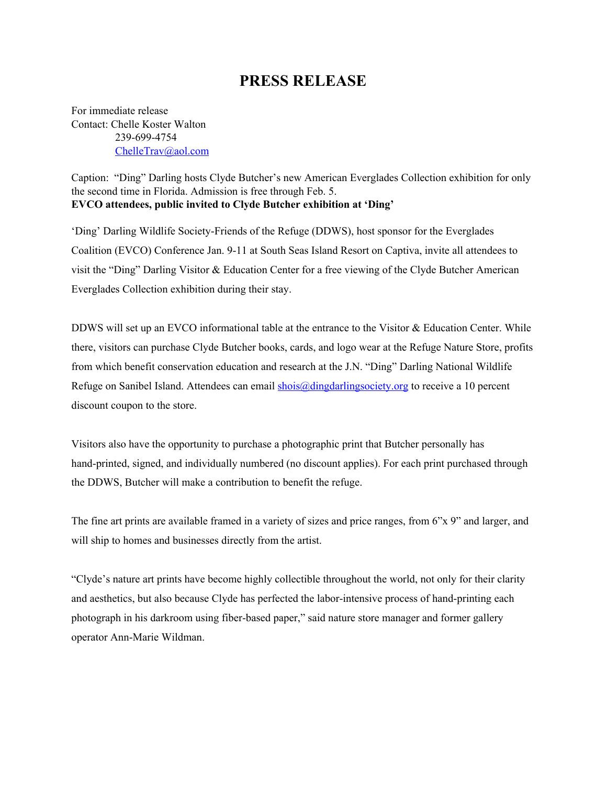## **PRESS RELEASE**

For immediate release Contact: Chelle Koster Walton 239-699-4754 [ChelleTrav@aol.com](mailto:ChelleTrav@aol.com)

Caption: "Ding" Darling hosts Clyde Butcher's new American Everglades Collection exhibition for only the second time in Florida. Admission is free through Feb. 5. **EVCO attendees, public invited to Clyde Butcher exhibition at 'Ding'**

'Ding' Darling Wildlife Society-Friends of the Refuge (DDWS), host sponsor for the Everglades Coalition (EVCO) Conference Jan. 9-11 at South Seas Island Resort on Captiva, invite all attendees to visit the "Ding" Darling Visitor & Education Center for a free viewing of the Clyde Butcher American Everglades Collection exhibition during their stay.

DDWS will set up an EVCO informational table at the entrance to the Visitor & Education Center. While there, visitors can purchase Clyde Butcher books, cards, and logo wear at the Refuge Nature Store, profits from which benefit conservation education and research at the J.N. "Ding" Darling National Wildlife Refuge on Sanibel Island. Attendees can email [shois@dingdarlingsociety.org](mailto:shois@dingdarlingsociety.org) to receive a 10 percent discount coupon to the store.

Visitors also have the opportunity to purchase a photographic print that Butcher personally has hand-printed, signed, and individually numbered (no discount applies). For each print purchased through the DDWS, Butcher will make a contribution to benefit the refuge.

The fine art prints are available framed in a variety of sizes and price ranges, from 6"x 9" and larger, and will ship to homes and businesses directly from the artist.

"Clyde's nature art prints have become highly collectible throughout the world, not only for their clarity and aesthetics, but also because Clyde has perfected the labor-intensive process of hand-printing each photograph in his darkroom using fiber-based paper," said nature store manager and former gallery operator Ann-Marie Wildman.